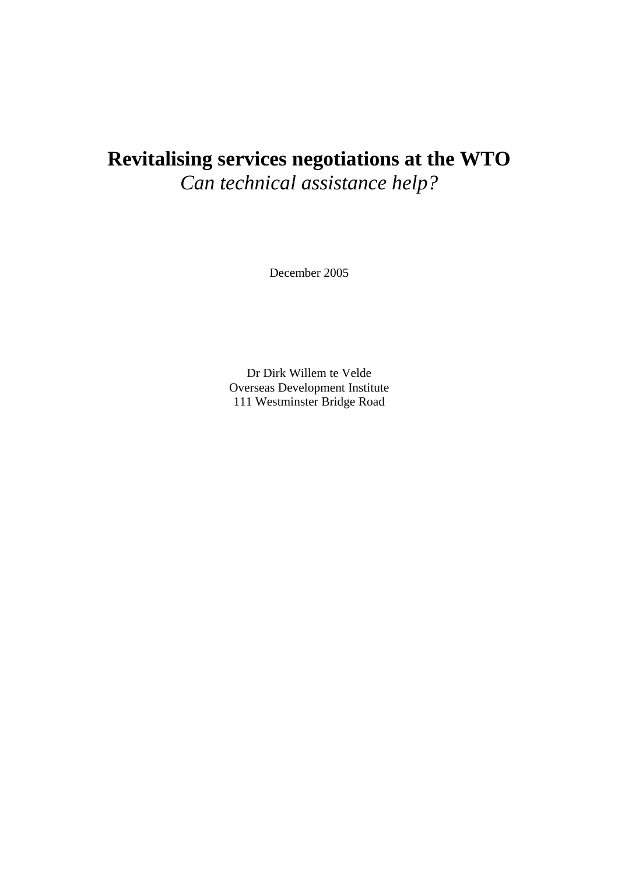# **Revitalising services negotiations at the WTO**  *Can technical assistance help?*

December 2005

Dr Dirk Willem te Velde Overseas Development Institute 111 Westminster Bridge Road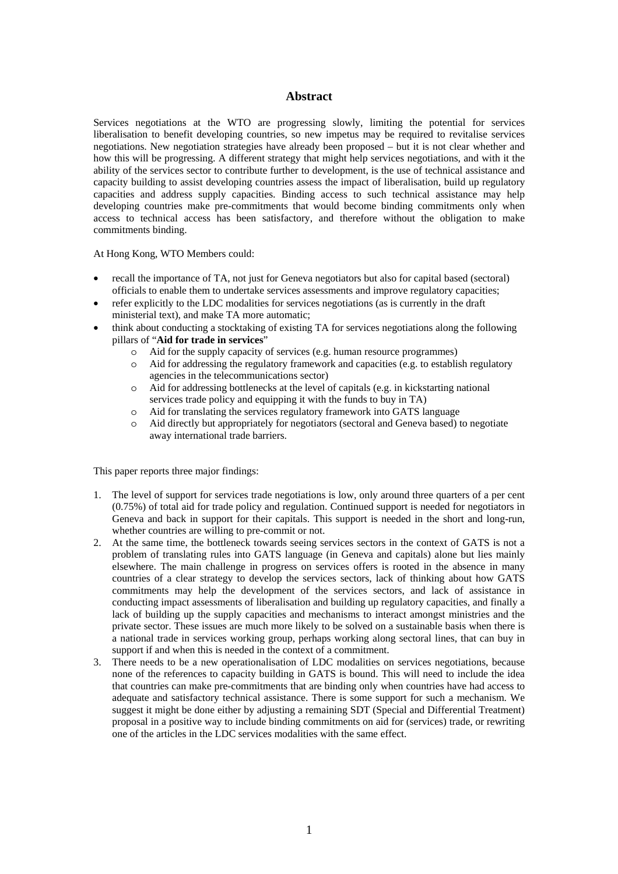#### **Abstract**

Services negotiations at the WTO are progressing slowly, limiting the potential for services liberalisation to benefit developing countries, so new impetus may be required to revitalise services negotiations. New negotiation strategies have already been proposed – but it is not clear whether and how this will be progressing. A different strategy that might help services negotiations, and with it the ability of the services sector to contribute further to development, is the use of technical assistance and capacity building to assist developing countries assess the impact of liberalisation, build up regulatory capacities and address supply capacities. Binding access to such technical assistance may help developing countries make pre-commitments that would become binding commitments only when access to technical access has been satisfactory, and therefore without the obligation to make commitments binding.

At Hong Kong, WTO Members could:

- recall the importance of TA, not just for Geneva negotiators but also for capital based (sectoral) officials to enable them to undertake services assessments and improve regulatory capacities;
- refer explicitly to the LDC modalities for services negotiations (as is currently in the draft ministerial text), and make TA more automatic;
- think about conducting a stocktaking of existing TA for services negotiations along the following pillars of "**Aid for trade in services**"
	- o Aid for the supply capacity of services (e.g. human resource programmes)
	- o Aid for addressing the regulatory framework and capacities (e.g. to establish regulatory agencies in the telecommunications sector)
	- o Aid for addressing bottlenecks at the level of capitals (e.g. in kickstarting national services trade policy and equipping it with the funds to buy in TA)
	- o Aid for translating the services regulatory framework into GATS language
	- o Aid directly but appropriately for negotiators (sectoral and Geneva based) to negotiate away international trade barriers.

This paper reports three major findings:

- 1. The level of support for services trade negotiations is low, only around three quarters of a per cent (0.75%) of total aid for trade policy and regulation. Continued support is needed for negotiators in Geneva and back in support for their capitals. This support is needed in the short and long-run, whether countries are willing to pre-commit or not.
- 2. At the same time, the bottleneck towards seeing services sectors in the context of GATS is not a problem of translating rules into GATS language (in Geneva and capitals) alone but lies mainly elsewhere. The main challenge in progress on services offers is rooted in the absence in many countries of a clear strategy to develop the services sectors, lack of thinking about how GATS commitments may help the development of the services sectors, and lack of assistance in conducting impact assessments of liberalisation and building up regulatory capacities, and finally a lack of building up the supply capacities and mechanisms to interact amongst ministries and the private sector. These issues are much more likely to be solved on a sustainable basis when there is a national trade in services working group, perhaps working along sectoral lines, that can buy in support if and when this is needed in the context of a commitment.
- 3. There needs to be a new operationalisation of LDC modalities on services negotiations, because none of the references to capacity building in GATS is bound. This will need to include the idea that countries can make pre-commitments that are binding only when countries have had access to adequate and satisfactory technical assistance. There is some support for such a mechanism. We suggest it might be done either by adjusting a remaining SDT (Special and Differential Treatment) proposal in a positive way to include binding commitments on aid for (services) trade, or rewriting one of the articles in the LDC services modalities with the same effect.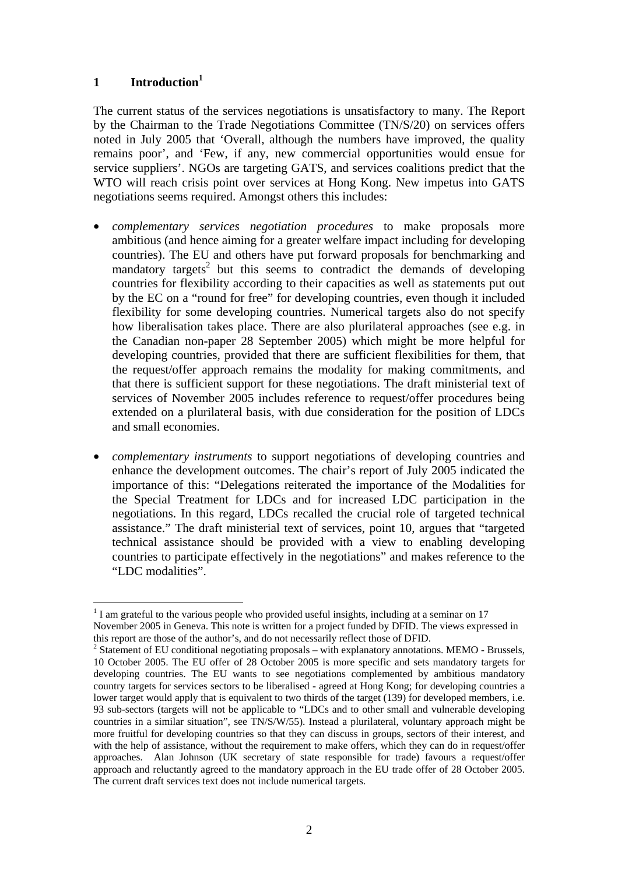## **1 Introductio[n1](#page-2-0)**

The current status of the services negotiations is unsatisfactory to many. The Report by the Chairman to the Trade Negotiations Committee (TN/S/20) on services offers noted in July 2005 that 'Overall, although the numbers have improved, the quality remains poor', and 'Few, if any, new commercial opportunities would ensue for service suppliers'. NGOs are targeting GATS, and services coalitions predict that the WTO will reach crisis point over services at Hong Kong. New impetus into GATS negotiations seems required. Amongst others this includes:

- *complementary services negotiation procedures* to make proposals more ambitious (and hence aiming for a greater welfare impact including for developing countries). The EU and others have put forward proposals for benchmarking and mandatory targets<sup>[2](#page-2-1)</sup> but this seems to contradict the demands of developing countries for flexibility according to their capacities as well as statements put out by the EC on a "round for free" for developing countries, even though it included flexibility for some developing countries. Numerical targets also do not specify how liberalisation takes place. There are also plurilateral approaches (see e.g. in the Canadian non-paper 28 September 2005) which might be more helpful for developing countries, provided that there are sufficient flexibilities for them, that the request/offer approach remains the modality for making commitments, and that there is sufficient support for these negotiations. The draft ministerial text of services of November 2005 includes reference to request/offer procedures being extended on a plurilateral basis, with due consideration for the position of LDCs and small economies.
- *complementary instruments* to support negotiations of developing countries and enhance the development outcomes. The chair's report of July 2005 indicated the importance of this: "Delegations reiterated the importance of the Modalities for the Special Treatment for LDCs and for increased LDC participation in the negotiations. In this regard, LDCs recalled the crucial role of targeted technical assistance." The draft ministerial text of services, point 10, argues that "targeted technical assistance should be provided with a view to enabling developing countries to participate effectively in the negotiations" and makes reference to the "LDC modalities".

<span id="page-2-0"></span> $\overline{a}$  $1$  I am grateful to the various people who provided useful insights, including at a seminar on 17 November 2005 in Geneva. This note is written for a project funded by DFID. The views expressed in this report are those of the author's, and do not necessarily reflect those of DFID. 2

<span id="page-2-1"></span><sup>&</sup>lt;sup>2</sup> Statement of EU conditional negotiating proposals – with explanatory annotations. MEMO - Brussels, 10 October 2005. The EU offer of 28 October 2005 is more specific and sets mandatory targets for developing countries. The EU wants to see negotiations complemented by ambitious mandatory country targets for services sectors to be liberalised - agreed at Hong Kong; for developing countries a lower target would apply that is equivalent to two thirds of the target (139) for developed members, i.e. 93 sub-sectors (targets will not be applicable to "LDCs and to other small and vulnerable developing countries in a similar situation", see TN/S/W/55). Instead a plurilateral, voluntary approach might be more fruitful for developing countries so that they can discuss in groups, sectors of their interest, and with the help of assistance, without the requirement to make offers, which they can do in request/offer approaches. Alan Johnson (UK secretary of state responsible for trade) favours a request/offer approach and reluctantly agreed to the mandatory approach in the EU trade offer of 28 October 2005. The current draft services text does not include numerical targets.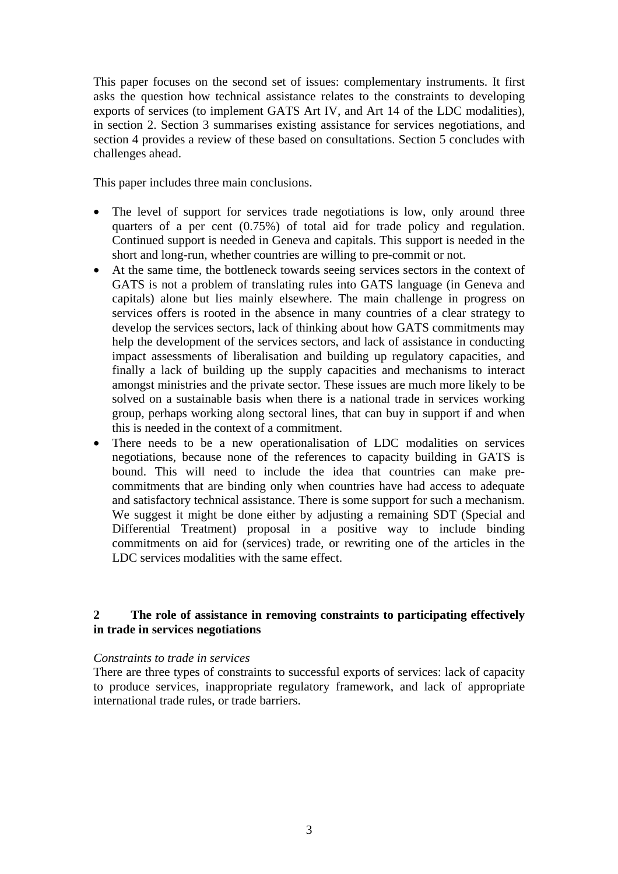This paper focuses on the second set of issues: complementary instruments. It first asks the question how technical assistance relates to the constraints to developing exports of services (to implement GATS Art IV, and Art 14 of the LDC modalities), in section 2. Section 3 summarises existing assistance for services negotiations, and section 4 provides a review of these based on consultations. Section 5 concludes with challenges ahead.

This paper includes three main conclusions.

- The level of support for services trade negotiations is low, only around three quarters of a per cent (0.75%) of total aid for trade policy and regulation. Continued support is needed in Geneva and capitals. This support is needed in the short and long-run, whether countries are willing to pre-commit or not.
- At the same time, the bottleneck towards seeing services sectors in the context of GATS is not a problem of translating rules into GATS language (in Geneva and capitals) alone but lies mainly elsewhere. The main challenge in progress on services offers is rooted in the absence in many countries of a clear strategy to develop the services sectors, lack of thinking about how GATS commitments may help the development of the services sectors, and lack of assistance in conducting impact assessments of liberalisation and building up regulatory capacities, and finally a lack of building up the supply capacities and mechanisms to interact amongst ministries and the private sector. These issues are much more likely to be solved on a sustainable basis when there is a national trade in services working group, perhaps working along sectoral lines, that can buy in support if and when this is needed in the context of a commitment.
- There needs to be a new operationalisation of LDC modalities on services negotiations, because none of the references to capacity building in GATS is bound. This will need to include the idea that countries can make precommitments that are binding only when countries have had access to adequate and satisfactory technical assistance. There is some support for such a mechanism. We suggest it might be done either by adjusting a remaining SDT (Special and Differential Treatment) proposal in a positive way to include binding commitments on aid for (services) trade, or rewriting one of the articles in the LDC services modalities with the same effect.

## **2 The role of assistance in removing constraints to participating effectively in trade in services negotiations**

## *Constraints to trade in services*

There are three types of constraints to successful exports of services: lack of capacity to produce services, inappropriate regulatory framework, and lack of appropriate international trade rules, or trade barriers.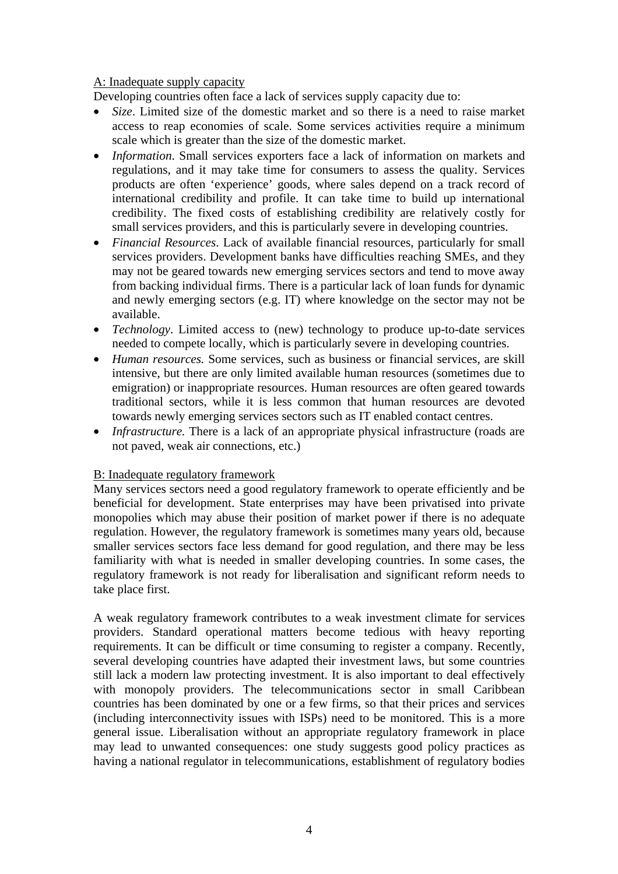## A: Inadequate supply capacity

Developing countries often face a lack of services supply capacity due to:

- *Size*. Limited size of the domestic market and so there is a need to raise market access to reap economies of scale. Some services activities require a minimum scale which is greater than the size of the domestic market.
- *Information*. Small services exporters face a lack of information on markets and regulations, and it may take time for consumers to assess the quality. Services products are often 'experience' goods, where sales depend on a track record of international credibility and profile. It can take time to build up international credibility. The fixed costs of establishing credibility are relatively costly for small services providers, and this is particularly severe in developing countries.
- *Financial Resources*. Lack of available financial resources, particularly for small services providers. Development banks have difficulties reaching SMEs, and they may not be geared towards new emerging services sectors and tend to move away from backing individual firms. There is a particular lack of loan funds for dynamic and newly emerging sectors (e.g. IT) where knowledge on the sector may not be available.
- *Technology*. Limited access to (new) technology to produce up-to-date services needed to compete locally, which is particularly severe in developing countries.
- *Human resources.* Some services, such as business or financial services, are skill intensive, but there are only limited available human resources (sometimes due to emigration) or inappropriate resources. Human resources are often geared towards traditional sectors, while it is less common that human resources are devoted towards newly emerging services sectors such as IT enabled contact centres.
- *Infrastructure*. There is a lack of an appropriate physical infrastructure (roads are not paved, weak air connections, etc.)

## B: Inadequate regulatory framework

Many services sectors need a good regulatory framework to operate efficiently and be beneficial for development. State enterprises may have been privatised into private monopolies which may abuse their position of market power if there is no adequate regulation. However, the regulatory framework is sometimes many years old, because smaller services sectors face less demand for good regulation, and there may be less familiarity with what is needed in smaller developing countries. In some cases, the regulatory framework is not ready for liberalisation and significant reform needs to take place first.

A weak regulatory framework contributes to a weak investment climate for services providers. Standard operational matters become tedious with heavy reporting requirements. It can be difficult or time consuming to register a company. Recently, several developing countries have adapted their investment laws, but some countries still lack a modern law protecting investment. It is also important to deal effectively with monopoly providers. The telecommunications sector in small Caribbean countries has been dominated by one or a few firms, so that their prices and services (including interconnectivity issues with ISPs) need to be monitored. This is a more general issue. Liberalisation without an appropriate regulatory framework in place may lead to unwanted consequences: one study suggests good policy practices as having a national regulator in telecommunications, establishment of regulatory bodies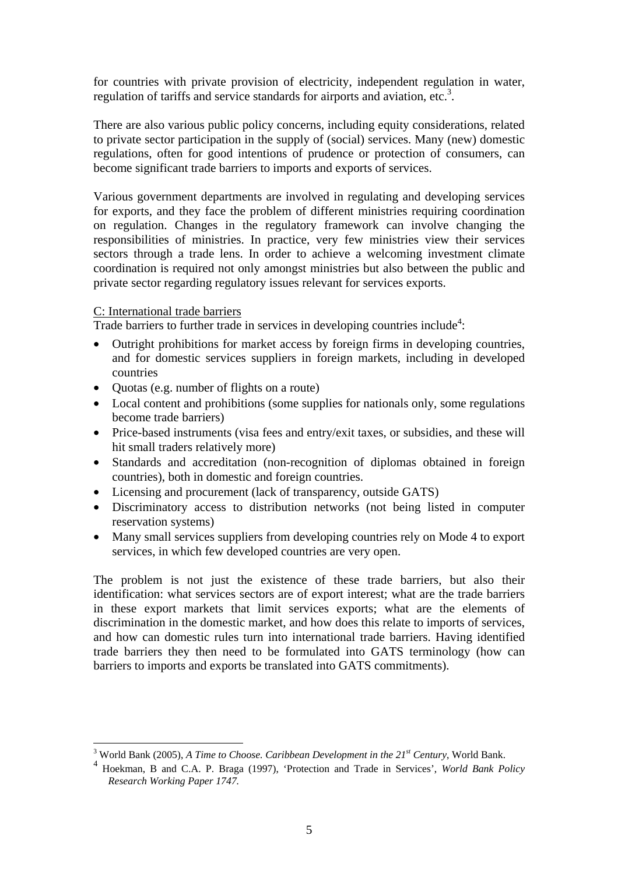for countries with private provision of electricity, independent regulation in water, regulation of tariffs and service standards for airports and aviation, etc.<sup>[3](#page-5-0)</sup>.

There are also various public policy concerns, including equity considerations, related to private sector participation in the supply of (social) services. Many (new) domestic regulations, often for good intentions of prudence or protection of consumers, can become significant trade barriers to imports and exports of services.

Various government departments are involved in regulating and developing services for exports, and they face the problem of different ministries requiring coordination on regulation. Changes in the regulatory framework can involve changing the responsibilities of ministries. In practice, very few ministries view their services sectors through a trade lens. In order to achieve a welcoming investment climate coordination is required not only amongst ministries but also between the public and private sector regarding regulatory issues relevant for services exports.

## C: International trade barriers

Trade barriers to further trade in services in developing countries include<sup>[4](#page-5-1)</sup>:

- Outright prohibitions for market access by foreign firms in developing countries, and for domestic services suppliers in foreign markets, including in developed countries
- Quotas (e.g. number of flights on a route)
- Local content and prohibitions (some supplies for nationals only, some regulations become trade barriers)
- Price-based instruments (visa fees and entry/exit taxes, or subsidies, and these will hit small traders relatively more)
- Standards and accreditation (non-recognition of diplomas obtained in foreign countries), both in domestic and foreign countries.
- Licensing and procurement (lack of transparency, outside GATS)
- Discriminatory access to distribution networks (not being listed in computer reservation systems)
- Many small services suppliers from developing countries rely on Mode 4 to export services, in which few developed countries are very open.

The problem is not just the existence of these trade barriers, but also their identification: what services sectors are of export interest; what are the trade barriers in these export markets that limit services exports; what are the elements of discrimination in the domestic market, and how does this relate to imports of services, and how can domestic rules turn into international trade barriers. Having identified trade barriers they then need to be formulated into GATS terminology (how can barriers to imports and exports be translated into GATS commitments).

<sup>&</sup>lt;sup>3</sup> World Bank (2005), *A Time to Choose. Caribbean Development in the 21<sup>st</sup> Century*, World Bank.

<span id="page-5-1"></span><span id="page-5-0"></span><sup>4</sup> Hoekman, B and C.A. P. Braga (1997), 'Protection and Trade in Services', *World Bank Policy Research Working Paper 1747.*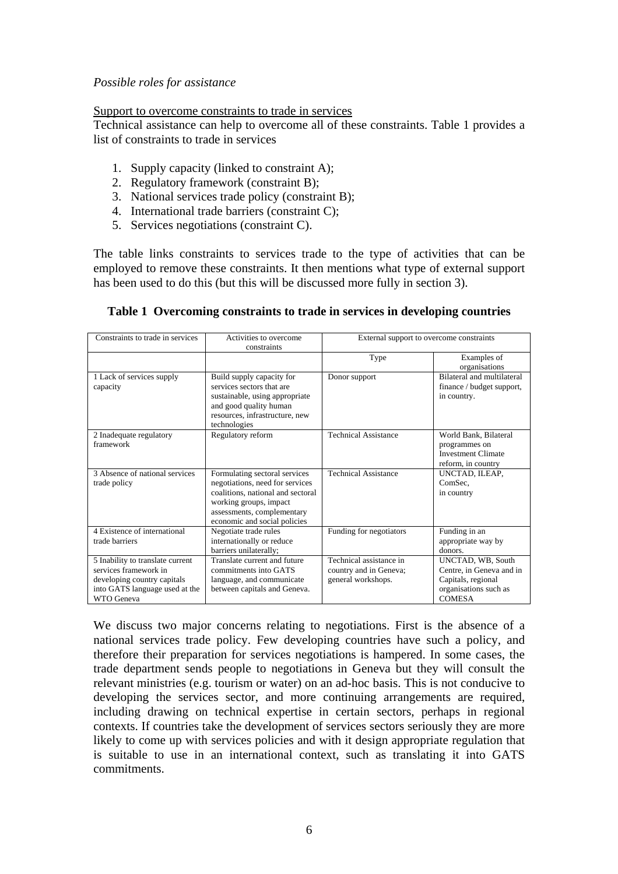## *Possible roles for assistance*

#### Support to overcome constraints to trade in services

Technical assistance can help to overcome all of these constraints. Table 1 provides a list of constraints to trade in services

- 1. Supply capacity (linked to constraint A);
- 2. Regulatory framework (constraint B);
- 3. National services trade policy (constraint B);
- 4. International trade barriers (constraint C);
- 5. Services negotiations (constraint C).

The table links constraints to services trade to the type of activities that can be employed to remove these constraints. It then mentions what type of external support has been used to do this (but this will be discussed more fully in section 3).

#### **Table 1 Overcoming constraints to trade in services in developing countries**

| Constraints to trade in services                                                                                                                | Activities to overcome<br>constraints                                                                                                                                                         | External support to overcome constraints                                |                                                                                                               |
|-------------------------------------------------------------------------------------------------------------------------------------------------|-----------------------------------------------------------------------------------------------------------------------------------------------------------------------------------------------|-------------------------------------------------------------------------|---------------------------------------------------------------------------------------------------------------|
|                                                                                                                                                 |                                                                                                                                                                                               | Type                                                                    | Examples of<br>organisations                                                                                  |
| 1 Lack of services supply<br>capacity                                                                                                           | Build supply capacity for<br>services sectors that are<br>sustainable, using appropriate<br>and good quality human<br>resources, infrastructure, new<br>technologies                          | Donor support                                                           | Bilateral and multilateral<br>finance / budget support,<br>in country.                                        |
| 2 Inadequate regulatory<br>framework                                                                                                            | Regulatory reform                                                                                                                                                                             | <b>Technical Assistance</b>                                             | World Bank, Bilateral<br>programmes on<br><b>Investment Climate</b><br>reform, in country                     |
| 3 Absence of national services<br>trade policy                                                                                                  | Formulating sectoral services<br>negotiations, need for services<br>coalitions, national and sectoral<br>working groups, impact<br>assessments, complementary<br>economic and social policies | <b>Technical Assistance</b>                                             | UNCTAD, ILEAP,<br>ComSec.<br>in country                                                                       |
| 4 Existence of international<br>trade barriers                                                                                                  | Negotiate trade rules<br>internationally or reduce<br>barriers unilaterally;                                                                                                                  | Funding for negotiators                                                 | Funding in an<br>appropriate way by<br>donors                                                                 |
| 5 Inability to translate current<br>services framework in<br>developing country capitals<br>into GATS language used at the<br><b>WTO</b> Geneva | Translate current and future<br>commitments into GATS<br>language, and communicate<br>between capitals and Geneva.                                                                            | Technical assistance in<br>country and in Geneva;<br>general workshops. | UNCTAD, WB, South<br>Centre, in Geneva and in<br>Capitals, regional<br>organisations such as<br><b>COMESA</b> |

We discuss two major concerns relating to negotiations. First is the absence of a national services trade policy. Few developing countries have such a policy, and therefore their preparation for services negotiations is hampered. In some cases, the trade department sends people to negotiations in Geneva but they will consult the relevant ministries (e.g. tourism or water) on an ad-hoc basis. This is not conducive to developing the services sector, and more continuing arrangements are required, including drawing on technical expertise in certain sectors, perhaps in regional contexts. If countries take the development of services sectors seriously they are more likely to come up with services policies and with it design appropriate regulation that is suitable to use in an international context, such as translating it into GATS commitments.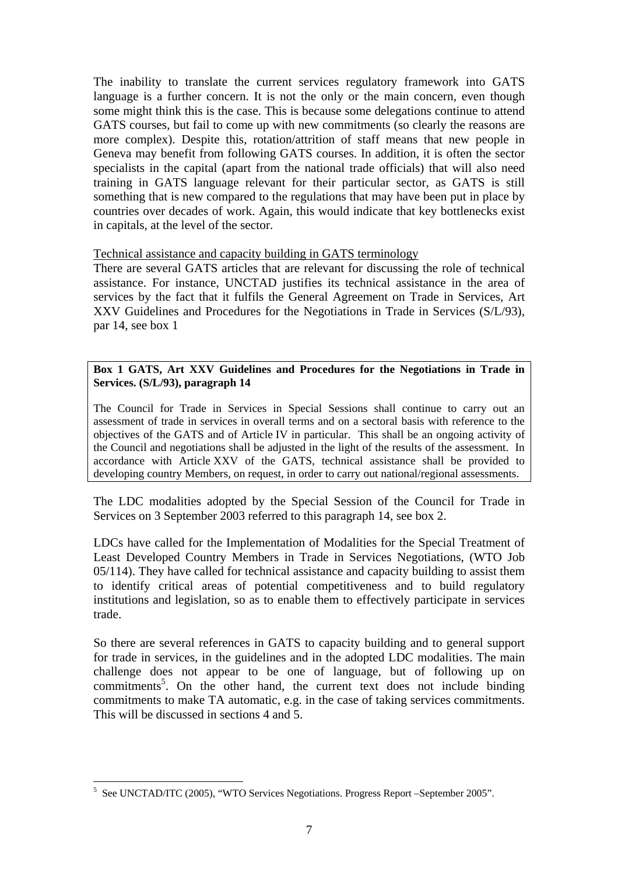The inability to translate the current services regulatory framework into GATS language is a further concern. It is not the only or the main concern, even though some might think this is the case. This is because some delegations continue to attend GATS courses, but fail to come up with new commitments (so clearly the reasons are more complex). Despite this, rotation/attrition of staff means that new people in Geneva may benefit from following GATS courses. In addition, it is often the sector specialists in the capital (apart from the national trade officials) that will also need training in GATS language relevant for their particular sector, as GATS is still something that is new compared to the regulations that may have been put in place by countries over decades of work. Again, this would indicate that key bottlenecks exist in capitals, at the level of the sector.

#### Technical assistance and capacity building in GATS terminology

There are several GATS articles that are relevant for discussing the role of technical assistance. For instance, UNCTAD justifies its technical assistance in the area of services by the fact that it fulfils the General Agreement on Trade in Services, Art XXV Guidelines and Procedures for the Negotiations in Trade in Services (S/L/93), par 14, see box 1

#### **Box 1 GATS, Art XXV Guidelines and Procedures for the Negotiations in Trade in Services. (S/L/93), paragraph 14**

The Council for Trade in Services in Special Sessions shall continue to carry out an assessment of trade in services in overall terms and on a sectoral basis with reference to the objectives of the GATS and of Article IV in particular. This shall be an ongoing activity of the Council and negotiations shall be adjusted in the light of the results of the assessment. In accordance with Article XXV of the GATS, technical assistance shall be provided to developing country Members, on request, in order to carry out national/regional assessments.

The LDC modalities adopted by the Special Session of the Council for Trade in Services on 3 September 2003 referred to this paragraph 14, see box 2.

LDCs have called for the Implementation of Modalities for the Special Treatment of Least Developed Country Members in Trade in Services Negotiations, (WTO Job 05/114). They have called for technical assistance and capacity building to assist them to identify critical areas of potential competitiveness and to build regulatory institutions and legislation, so as to enable them to effectively participate in services trade.

So there are several references in GATS to capacity building and to general support for trade in services, in the guidelines and in the adopted LDC modalities. The main challenge does not appear to be one of language, but of following up on commitments<sup>[5](#page-7-0)</sup>. On the other hand, the current text does not include binding commitments to make TA automatic, e.g. in the case of taking services commitments. This will be discussed in sections 4 and 5.

<span id="page-7-0"></span> 5 See UNCTAD/ITC (2005), "WTO Services Negotiations. Progress Report –September 2005".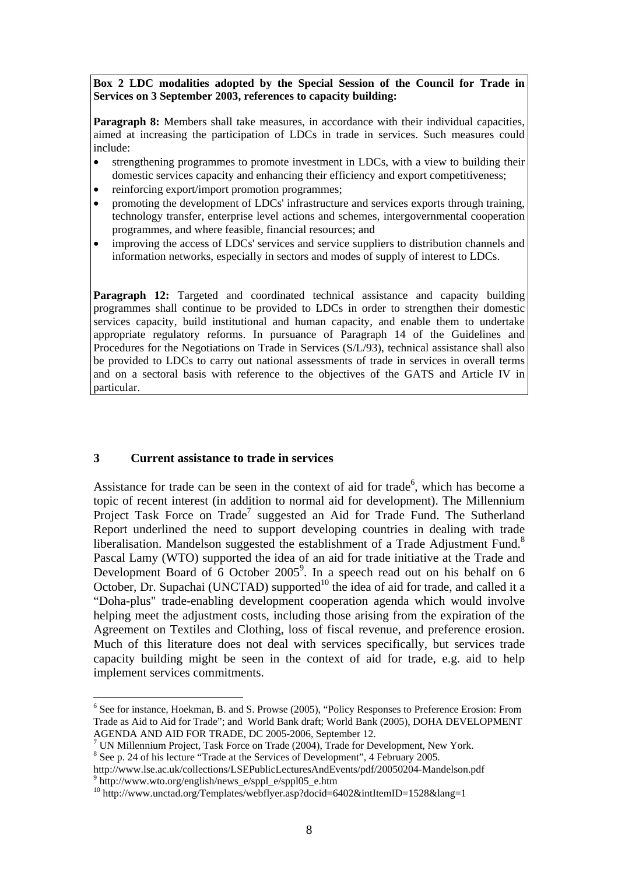**Box 2 LDC modalities adopted by the Special Session of the Council for Trade in Services on 3 September 2003, references to capacity building:** 

**Paragraph 8:** Members shall take measures, in accordance with their individual capacities, aimed at increasing the participation of LDCs in trade in services. Such measures could include:

- strengthening programmes to promote investment in LDCs, with a view to building their domestic services capacity and enhancing their efficiency and export competitiveness;
- reinforcing export/import promotion programmes;
- promoting the development of LDCs' infrastructure and services exports through training, technology transfer, enterprise level actions and schemes, intergovernmental cooperation programmes, and where feasible, financial resources; and
- improving the access of LDCs' services and service suppliers to distribution channels and information networks, especially in sectors and modes of supply of interest to LDCs.

Paragraph 12: Targeted and coordinated technical assistance and capacity building programmes shall continue to be provided to LDCs in order to strengthen their domestic services capacity, build institutional and human capacity, and enable them to undertake appropriate regulatory reforms. In pursuance of Paragraph 14 of the Guidelines and Procedures for the Negotiations on Trade in Services (S/L/93), technical assistance shall also be provided to LDCs to carry out national assessments of trade in services in overall terms and on a sectoral basis with reference to the objectives of the GATS and Article IV in particular.

#### **3 Current assistance to trade in services**

 $\overline{a}$ 

Assistance for trade can be seen in the context of aid for trade<sup>6</sup>, which has become a topic of recent interest (in addition to normal aid for development). The Millennium Project Task Force on Trade<sup>[7](#page-8-1)</sup> suggested an Aid for Trade Fund. The Sutherland Report underlined the need to support developing countries in dealing with trade liberalisation. Mandelson suggested the establishment of a Trade Adjustment Fund.<sup>[8](#page-8-2)</sup> Pascal Lamy (WTO) supported the idea of an aid for trade initiative at the Trade and Development Board of  $6$  October 2005<sup>[9](#page-8-3)</sup>. In a speech read out on his behalf on  $6$ October, Dr. Supachai (UNCTAD) supported<sup>10</sup> the idea of aid for trade, and called it a "Doha-plus" trade-enabling development cooperation agenda which would involve helping meet the adjustment costs, including those arising from the expiration of the Agreement on Textiles and Clothing, loss of fiscal revenue, and preference erosion. Much of this literature does not deal with services specifically, but services trade capacity building might be seen in the context of aid for trade, e.g. aid to help implement services commitments.

<span id="page-8-0"></span><sup>&</sup>lt;sup>6</sup> See for instance, Hoekman, B. and S. Prowse (2005), "Policy Responses to Preference Erosion: From Trade as Aid to Aid for Trade"; and World Bank draft; World Bank (2005), DOHA DEVELOPMENT AGENDA AND AID FOR TRADE, DC 2005-2006, September 12. 7

<span id="page-8-1"></span> $17$  UN Millennium Project, Task Force on Trade (2004), Trade for Development, New York.

<span id="page-8-2"></span><sup>&</sup>lt;sup>8</sup> See p. 24 of his lecture "Trade at the Services of Development", 4 February 2005.

<span id="page-8-3"></span>http://www.lse.ac.uk/collections/LSEPublicLecturesAndEvents/pdf/20050204-Mandelson.pdf 9 http://www.wto.org/english/news\_e/sppl\_e/sppl05\_e.htm

<span id="page-8-4"></span><sup>&</sup>lt;sup>10</sup> http://www.unctad.org/Templates/webflyer.asp?docid=6402&intItemID=1528&lang=1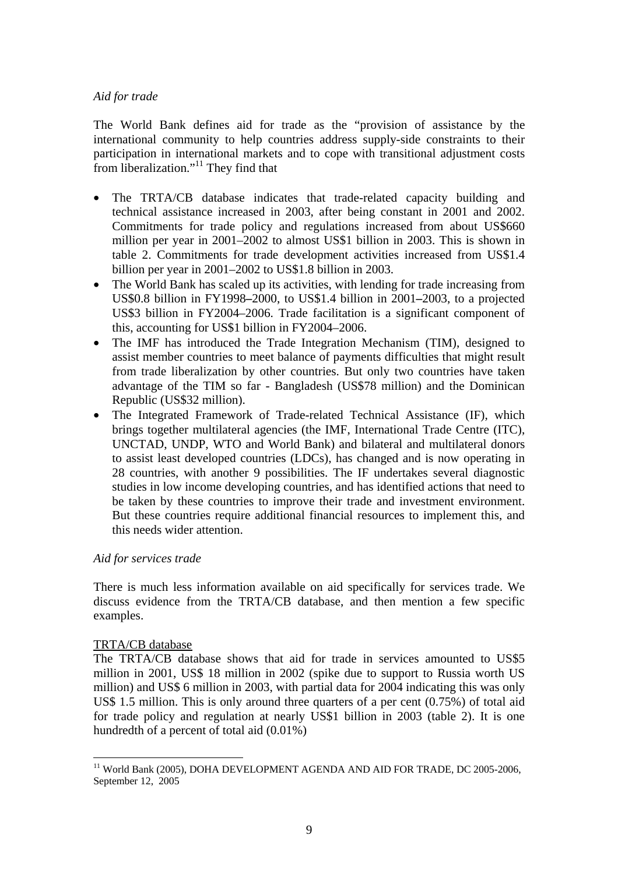## *Aid for trade*

The World Bank defines aid for trade as the "provision of assistance by the international community to help countries address supply-side constraints to their participation in international markets and to cope with transitional adjustment costs from liberalization."<sup>11</sup> They find that

- The TRTA/CB database indicates that trade-related capacity building and technical assistance increased in 2003, after being constant in 2001 and 2002. Commitments for trade policy and regulations increased from about US\$660 million per year in 2001–2002 to almost US\$1 billion in 2003. This is shown in table 2. Commitments for trade development activities increased from US\$1.4 billion per year in 2001–2002 to US\$1.8 billion in 2003.
- The World Bank has scaled up its activities, with lending for trade increasing from US\$0.8 billion in FY1998**–**2000, to US\$1.4 billion in 2001**–**2003, to a projected US\$3 billion in FY2004–2006. Trade facilitation is a significant component of this, accounting for US\$1 billion in FY2004–2006.
- The IMF has introduced the Trade Integration Mechanism (TIM), designed to assist member countries to meet balance of payments difficulties that might result from trade liberalization by other countries. But only two countries have taken advantage of the TIM so far - Bangladesh (US\$78 million) and the Dominican Republic (US\$32 million).
- The Integrated Framework of Trade-related Technical Assistance (IF), which brings together multilateral agencies (the IMF, International Trade Centre (ITC), UNCTAD, UNDP, WTO and World Bank) and bilateral and multilateral donors to assist least developed countries (LDCs), has changed and is now operating in 28 countries, with another 9 possibilities. The IF undertakes several diagnostic studies in low income developing countries, and has identified actions that need to be taken by these countries to improve their trade and investment environment. But these countries require additional financial resources to implement this, and this needs wider attention.

## *Aid for services trade*

There is much less information available on aid specifically for services trade. We discuss evidence from the TRTA/CB database, and then mention a few specific examples.

#### TRTA/CB database

 $\overline{a}$ 

The TRTA/CB database shows that aid for trade in services amounted to US\$5 million in 2001, US\$ 18 million in 2002 (spike due to support to Russia worth US million) and US\$ 6 million in 2003, with partial data for 2004 indicating this was only US\$ 1.5 million. This is only around three quarters of a per cent (0.75%) of total aid for trade policy and regulation at nearly US\$1 billion in 2003 (table 2). It is one hundredth of a percent of total aid (0.01%)

<span id="page-9-0"></span><sup>&</sup>lt;sup>11</sup> World Bank (2005), DOHA DEVELOPMENT AGENDA AND AID FOR TRADE, DC 2005-2006, September 12, 2005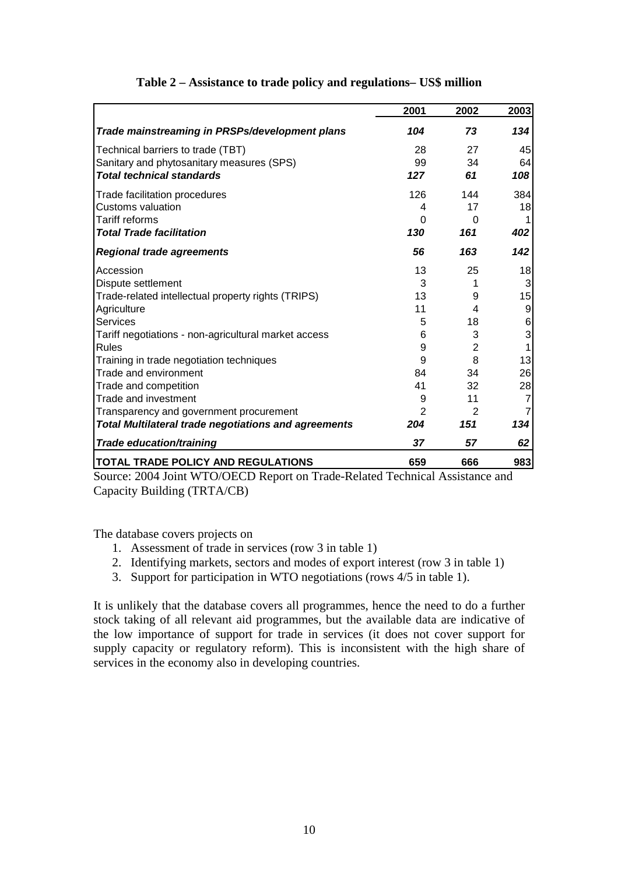|                                                             | 2001           | 2002     | 2003           |
|-------------------------------------------------------------|----------------|----------|----------------|
| Trade mainstreaming in PRSPs/development plans              | 104            | 73       | 134            |
| Technical barriers to trade (TBT)                           | 28             | 27       | 45             |
| Sanitary and phytosanitary measures (SPS)                   | 99             | 34       | 64             |
| <b>Total technical standards</b>                            | 127            | 61       | 108            |
| Trade facilitation procedures                               | 126            | 144      | 384            |
| Customs valuation                                           | 4              | 17       | 18             |
| <b>Tariff reforms</b>                                       | 0              | $\Omega$ |                |
| <b>Total Trade facilitation</b>                             | 130            | 161      | 402            |
| <b>Regional trade agreements</b>                            | 56             | 163      | 142            |
| Accession                                                   | 13             | 25       | 18             |
| Dispute settlement                                          | 3              |          | 3              |
| Trade-related intellectual property rights (TRIPS)          | 13             | 9        | 15             |
| Agriculture                                                 | 11             | 4        | 9              |
| <b>Services</b>                                             | 5              | 18       | 6              |
| Tariff negotiations - non-agricultural market access        | 6              | 3        | 3              |
| Rules                                                       | 9              | 2        | 1              |
| Training in trade negotiation techniques                    | 9              | 8        | 13             |
| Trade and environment                                       | 84             | 34       | 26             |
| Trade and competition                                       | 41             | 32       | 28             |
| Trade and investment                                        | 9              | 11       | $\overline{7}$ |
| Transparency and government procurement                     | $\overline{2}$ | 2        | 7              |
| <b>Total Multilateral trade negotiations and agreements</b> | 204            | 151      | 134            |
| <b>Trade education/training</b>                             | 37             | 57       | 62             |
| <b>TOTAL TRADE POLICY AND REGULATIONS</b>                   | 659            | 666      | 983            |

# **Table 2 – Assistance to trade policy and regulations– US\$ million**

Source: 2004 Joint WTO/OECD Report on Trade-Related Technical Assistance and Capacity Building (TRTA/CB)

The database covers projects on

- 1. Assessment of trade in services (row 3 in table 1)
- 2. Identifying markets, sectors and modes of export interest (row 3 in table 1)
- 3. Support for participation in WTO negotiations (rows 4/5 in table 1).

It is unlikely that the database covers all programmes, hence the need to do a further stock taking of all relevant aid programmes, but the available data are indicative of the low importance of support for trade in services (it does not cover support for supply capacity or regulatory reform). This is inconsistent with the high share of services in the economy also in developing countries.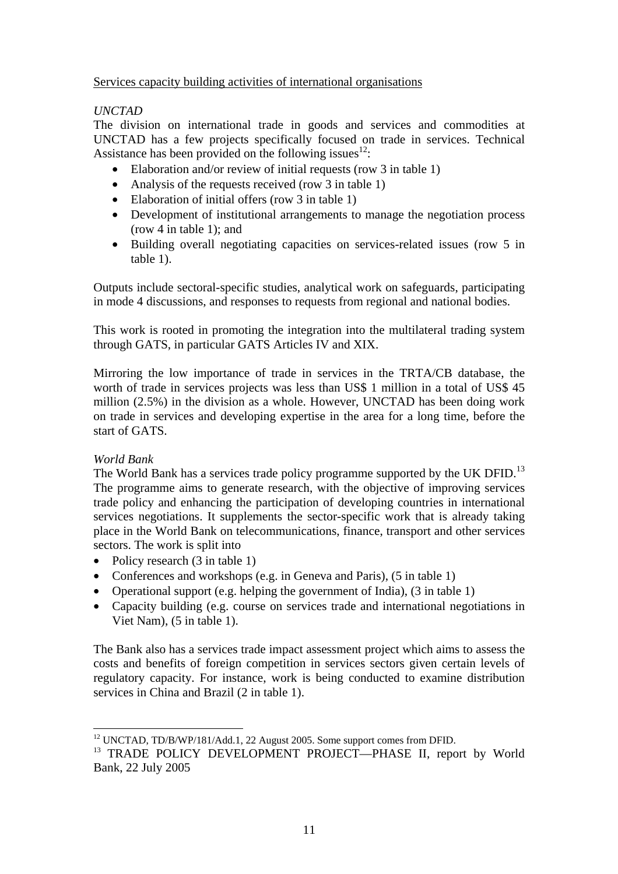## Services capacity building activities of international organisations

# *UNCTAD*

The division on international trade in goods and services and commodities at UNCTAD has a few projects specifically focused on trade in services. Technical Assistance has been provided on the following issues  $12$ :

- Elaboration and/or review of initial requests (row 3 in table 1)
- Analysis of the requests received (row 3 in table 1)
- Elaboration of initial offers (row 3 in table 1)
- Development of institutional arrangements to manage the negotiation process (row 4 in table 1); and
- Building overall negotiating capacities on services-related issues (row 5 in table 1).

Outputs include sectoral-specific studies, analytical work on safeguards, participating in mode 4 discussions, and responses to requests from regional and national bodies.

This work is rooted in promoting the integration into the multilateral trading system through GATS, in particular GATS Articles IV and XIX.

Mirroring the low importance of trade in services in the TRTA/CB database, the worth of trade in services projects was less than US\$ 1 million in a total of US\$ 45 million (2.5%) in the division as a whole. However, UNCTAD has been doing work on trade in services and developing expertise in the area for a long time, before the start of GATS.

# *World Bank*

The World Bank has a services trade policy programme supported by the UK DFID.<sup>[13](#page-11-1)</sup> The programme aims to generate research, with the objective of improving services trade policy and enhancing the participation of developing countries in international services negotiations. It supplements the sector-specific work that is already taking place in the World Bank on telecommunications, finance, transport and other services sectors. The work is split into

- Policy research (3 in table 1)
- Conferences and workshops (e.g. in Geneva and Paris), (5 in table 1)
- Operational support (e.g. helping the government of India), (3 in table 1)
- Capacity building (e.g. course on services trade and international negotiations in Viet Nam), (5 in table 1).

The Bank also has a services trade impact assessment project which aims to assess the costs and benefits of foreign competition in services sectors given certain levels of regulatory capacity. For instance, work is being conducted to examine distribution services in China and Brazil (2 in table 1).

<span id="page-11-0"></span><sup>&</sup>lt;sup>12</sup> UNCTAD, TD/B/WP/181/Add.1, 22 August 2005. Some support comes from DFID.

<span id="page-11-1"></span><sup>&</sup>lt;sup>13</sup> TRADE POLICY DEVELOPMENT PROJECT—PHASE II, report by World Bank, 22 July 2005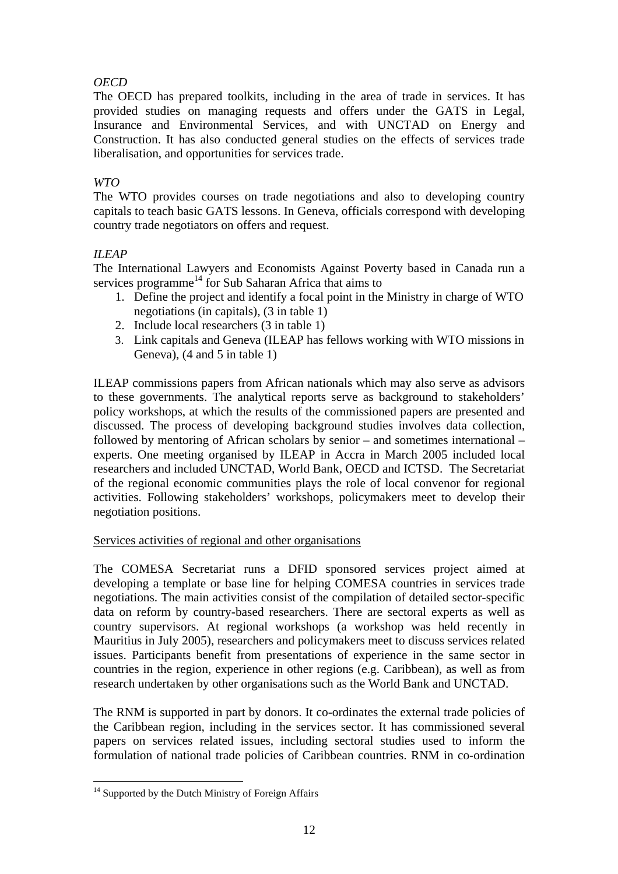# *OECD*

The OECD has prepared toolkits, including in the area of trade in services. It has provided studies on managing requests and offers under the GATS in Legal, Insurance and Environmental Services, and with UNCTAD on Energy and Construction. It has also conducted general studies on the effects of services trade liberalisation, and opportunities for services trade.

# *WTO*

The WTO provides courses on trade negotiations and also to developing country capitals to teach basic GATS lessons. In Geneva, officials correspond with developing country trade negotiators on offers and request.

# *ILEAP*

The International Lawyers and Economists Against Poverty based in Canada run a services programme<sup>14</sup> for Sub Saharan Africa that aims to

- 1. Define the project and identify a focal point in the Ministry in charge of WTO negotiations (in capitals), (3 in table 1)
- 2. Include local researchers (3 in table 1)
- 3. Link capitals and Geneva (ILEAP has fellows working with WTO missions in Geneva),  $(4 \text{ and } 5 \text{ in table } 1)$

ILEAP commissions papers from African nationals which may also serve as advisors to these governments. The analytical reports serve as background to stakeholders' policy workshops, at which the results of the commissioned papers are presented and discussed. The process of developing background studies involves data collection, followed by mentoring of African scholars by senior – and sometimes international – experts. One meeting organised by ILEAP in Accra in March 2005 included local researchers and included UNCTAD, World Bank, OECD and ICTSD. The Secretariat of the regional economic communities plays the role of local convenor for regional activities. Following stakeholders' workshops, policymakers meet to develop their negotiation positions.

# Services activities of regional and other organisations

The COMESA Secretariat runs a DFID sponsored services project aimed at developing a template or base line for helping COMESA countries in services trade negotiations. The main activities consist of the compilation of detailed sector-specific data on reform by country-based researchers. There are sectoral experts as well as country supervisors. At regional workshops (a workshop was held recently in Mauritius in July 2005), researchers and policymakers meet to discuss services related issues. Participants benefit from presentations of experience in the same sector in countries in the region, experience in other regions (e.g. Caribbean), as well as from research undertaken by other organisations such as the World Bank and UNCTAD.

The RNM is supported in part by donors. It co-ordinates the external trade policies of the Caribbean region, including in the services sector. It has commissioned several papers on services related issues, including sectoral studies used to inform the formulation of national trade policies of Caribbean countries. RNM in co-ordination

<span id="page-12-0"></span><sup>&</sup>lt;sup>14</sup> Supported by the Dutch Ministry of Foreign Affairs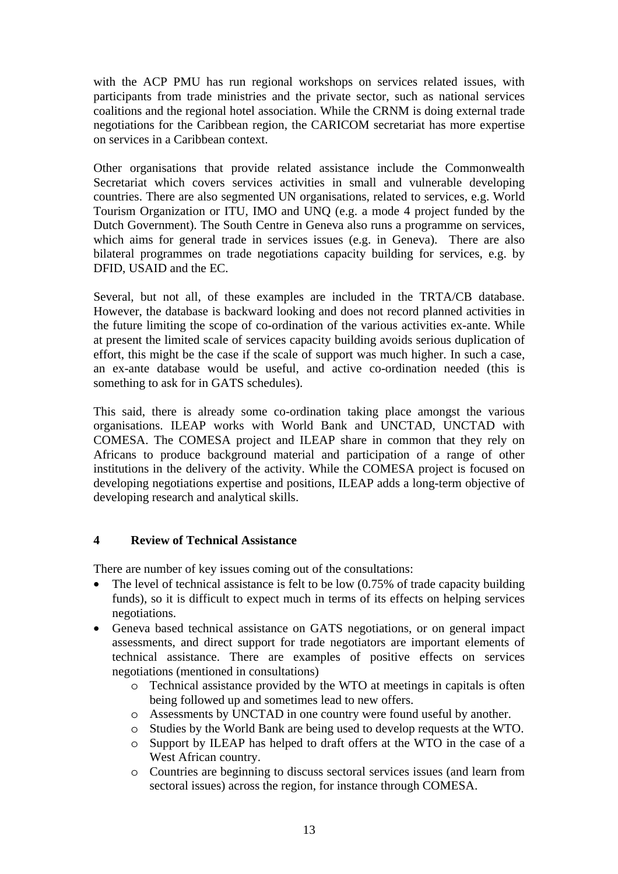with the ACP PMU has run regional workshops on services related issues, with participants from trade ministries and the private sector, such as national services coalitions and the regional hotel association. While the CRNM is doing external trade negotiations for the Caribbean region, the CARICOM secretariat has more expertise on services in a Caribbean context.

Other organisations that provide related assistance include the Commonwealth Secretariat which covers services activities in small and vulnerable developing countries. There are also segmented UN organisations, related to services, e.g. World Tourism Organization or ITU, IMO and UNQ (e.g. a mode 4 project funded by the Dutch Government). The South Centre in Geneva also runs a programme on services, which aims for general trade in services issues (e.g. in Geneva). There are also bilateral programmes on trade negotiations capacity building for services, e.g. by DFID, USAID and the EC.

Several, but not all, of these examples are included in the TRTA/CB database. However, the database is backward looking and does not record planned activities in the future limiting the scope of co-ordination of the various activities ex-ante. While at present the limited scale of services capacity building avoids serious duplication of effort, this might be the case if the scale of support was much higher. In such a case, an ex-ante database would be useful, and active co-ordination needed (this is something to ask for in GATS schedules).

This said, there is already some co-ordination taking place amongst the various organisations. ILEAP works with World Bank and UNCTAD, UNCTAD with COMESA. The COMESA project and ILEAP share in common that they rely on Africans to produce background material and participation of a range of other institutions in the delivery of the activity. While the COMESA project is focused on developing negotiations expertise and positions, ILEAP adds a long-term objective of developing research and analytical skills.

# **4 Review of Technical Assistance**

There are number of key issues coming out of the consultations:

- The level of technical assistance is felt to be low (0.75% of trade capacity building funds), so it is difficult to expect much in terms of its effects on helping services negotiations.
- Geneva based technical assistance on GATS negotiations, or on general impact assessments, and direct support for trade negotiators are important elements of technical assistance. There are examples of positive effects on services negotiations (mentioned in consultations)
	- o Technical assistance provided by the WTO at meetings in capitals is often being followed up and sometimes lead to new offers.
	- o Assessments by UNCTAD in one country were found useful by another.
	- o Studies by the World Bank are being used to develop requests at the WTO.
	- o Support by ILEAP has helped to draft offers at the WTO in the case of a West African country.
	- o Countries are beginning to discuss sectoral services issues (and learn from sectoral issues) across the region, for instance through COMESA.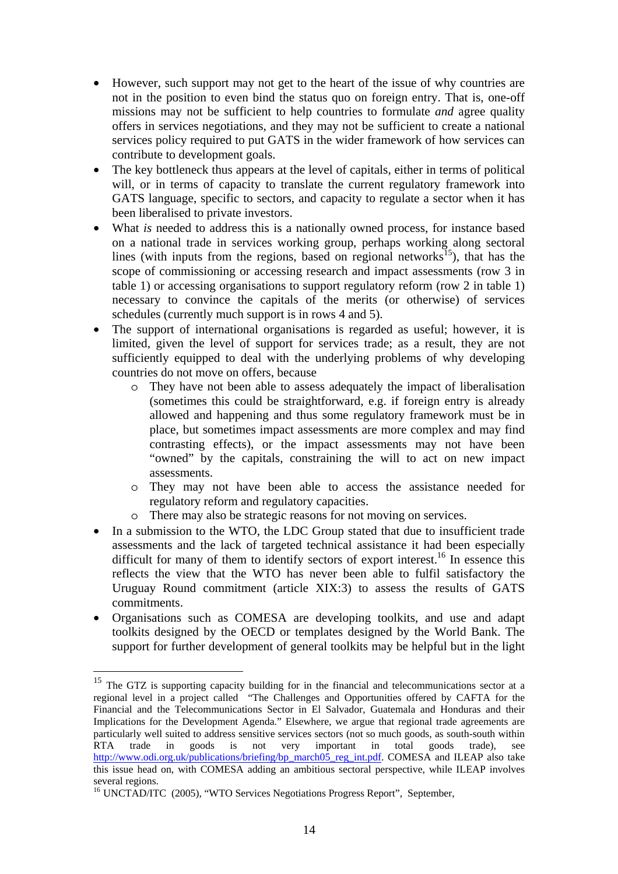- However, such support may not get to the heart of the issue of why countries are not in the position to even bind the status quo on foreign entry. That is, one-off missions may not be sufficient to help countries to formulate *and* agree quality offers in services negotiations, and they may not be sufficient to create a national services policy required to put GATS in the wider framework of how services can contribute to development goals.
- The key bottleneck thus appears at the level of capitals, either in terms of political will, or in terms of capacity to translate the current regulatory framework into GATS language, specific to sectors, and capacity to regulate a sector when it has been liberalised to private investors.
- What *is* needed to address this is a nationally owned process, for instance based on a national trade in services working group, perhaps working along sectoral lines (with inputs from the regions, based on regional networks<sup>15</sup>), that has the scope of commissioning or accessing research and impact assessments (row 3 in table 1) or accessing organisations to support regulatory reform (row 2 in table 1) necessary to convince the capitals of the merits (or otherwise) of services schedules (currently much support is in rows 4 and 5).
- The support of international organisations is regarded as useful; however, it is limited, given the level of support for services trade; as a result, they are not sufficiently equipped to deal with the underlying problems of why developing countries do not move on offers, because
	- o They have not been able to assess adequately the impact of liberalisation (sometimes this could be straightforward, e.g. if foreign entry is already allowed and happening and thus some regulatory framework must be in place, but sometimes impact assessments are more complex and may find contrasting effects), or the impact assessments may not have been "owned" by the capitals, constraining the will to act on new impact assessments.
	- o They may not have been able to access the assistance needed for regulatory reform and regulatory capacities.
	- o There may also be strategic reasons for not moving on services.
- In a submission to the WTO, the LDC Group stated that due to insufficient trade assessments and the lack of targeted technical assistance it had been especially difficult for many of them to identify sectors of export interest.<sup>16</sup> In essence this reflects the view that the WTO has never been able to fulfil satisfactory the Uruguay Round commitment (article XIX:3) to assess the results of GATS commitments.
- Organisations such as COMESA are developing toolkits, and use and adapt toolkits designed by the OECD or templates designed by the World Bank. The support for further development of general toolkits may be helpful but in the light

<span id="page-14-0"></span> $15$  The GTZ is supporting capacity building for in the financial and telecommunications sector at a regional level in a project called "The Challenges and Opportunities offered by CAFTA for the Financial and the Telecommunications Sector in El Salvador, Guatemala and Honduras and their Implications for the Development Agenda." Elsewhere, we argue that regional trade agreements are particularly well suited to address sensitive services sectors (not so much goods, as south-south within RTA trade in goods is not very important in total goods trade), see [http://www.odi.org.uk/publications/briefing/bp\\_march05\\_reg\\_int.pdf](http://www.odi.org.uk/publications/briefing/bp_march05_reg_int.pdf). COMESA and ILEAP also take this issue head on, with COMESA adding an ambitious sectoral perspective, while ILEAP involves several regions.<br><sup>16</sup> UNCTAD/ITC (2005), "WTO Services Negotiations Progress Report", September,

<span id="page-14-1"></span>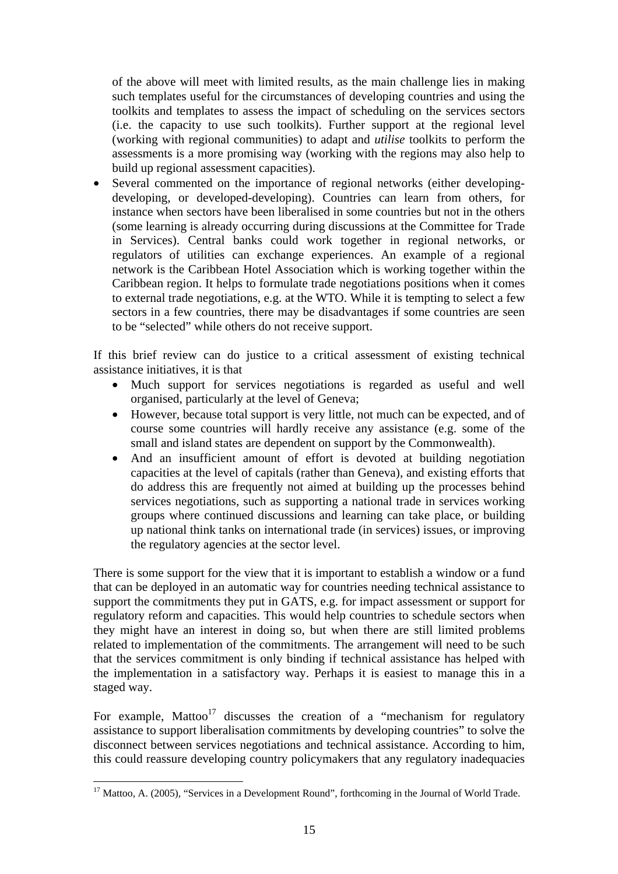of the above will meet with limited results, as the main challenge lies in making such templates useful for the circumstances of developing countries and using the toolkits and templates to assess the impact of scheduling on the services sectors (i.e. the capacity to use such toolkits). Further support at the regional level (working with regional communities) to adapt and *utilise* toolkits to perform the assessments is a more promising way (working with the regions may also help to build up regional assessment capacities).

• Several commented on the importance of regional networks (either developingdeveloping, or developed-developing). Countries can learn from others, for instance when sectors have been liberalised in some countries but not in the others (some learning is already occurring during discussions at the Committee for Trade in Services). Central banks could work together in regional networks, or regulators of utilities can exchange experiences. An example of a regional network is the Caribbean Hotel Association which is working together within the Caribbean region. It helps to formulate trade negotiations positions when it comes to external trade negotiations, e.g. at the WTO. While it is tempting to select a few sectors in a few countries, there may be disadvantages if some countries are seen to be "selected" while others do not receive support.

If this brief review can do justice to a critical assessment of existing technical assistance initiatives, it is that

- Much support for services negotiations is regarded as useful and well organised, particularly at the level of Geneva;
- However, because total support is very little, not much can be expected, and of course some countries will hardly receive any assistance (e.g. some of the small and island states are dependent on support by the Commonwealth).
- And an insufficient amount of effort is devoted at building negotiation capacities at the level of capitals (rather than Geneva), and existing efforts that do address this are frequently not aimed at building up the processes behind services negotiations, such as supporting a national trade in services working groups where continued discussions and learning can take place, or building up national think tanks on international trade (in services) issues, or improving the regulatory agencies at the sector level.

There is some support for the view that it is important to establish a window or a fund that can be deployed in an automatic way for countries needing technical assistance to support the commitments they put in GATS, e.g. for impact assessment or support for regulatory reform and capacities. This would help countries to schedule sectors when they might have an interest in doing so, but when there are still limited problems related to implementation of the commitments. The arrangement will need to be such that the services commitment is only binding if technical assistance has helped with the implementation in a satisfactory way. Perhaps it is easiest to manage this in a staged way.

For example, Mattoo<sup>17</sup> discusses the creation of a "mechanism for regulatory" assistance to support liberalisation commitments by developing countries" to solve the disconnect between services negotiations and technical assistance. According to him, this could reassure developing country policymakers that any regulatory inadequacies

<span id="page-15-0"></span><sup>&</sup>lt;sup>17</sup> Mattoo, A. (2005), "Services in a Development Round", forthcoming in the Journal of World Trade.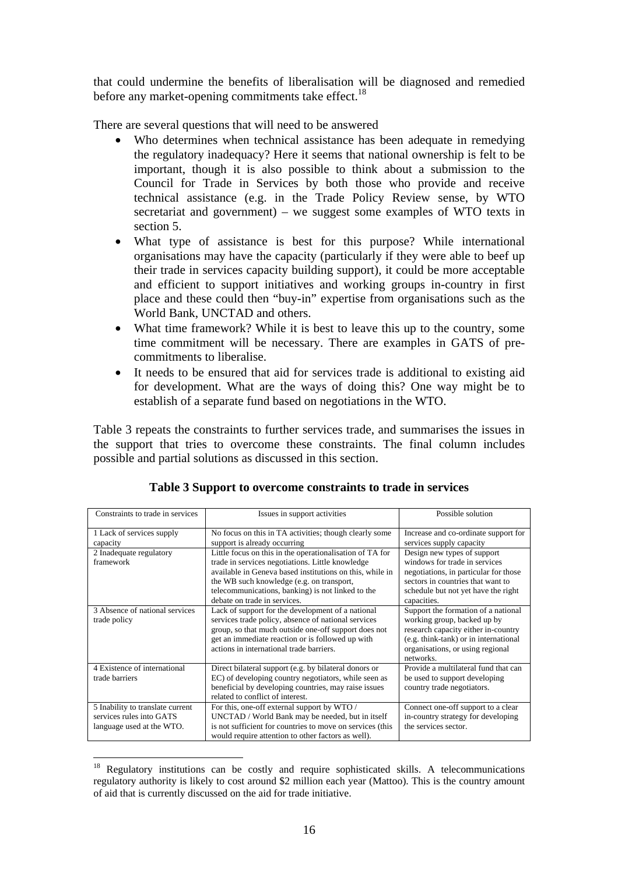that could undermine the benefits of liberalisation will be diagnosed and remedied before any market-opening commitments take effect.<sup>18</sup>

There are several questions that will need to be answered

- Who determines when technical assistance has been adequate in remedying the regulatory inadequacy? Here it seems that national ownership is felt to be important, though it is also possible to think about a submission to the Council for Trade in Services by both those who provide and receive technical assistance (e.g. in the Trade Policy Review sense, by WTO secretariat and government) – we suggest some examples of WTO texts in section 5.
- What type of assistance is best for this purpose? While international organisations may have the capacity (particularly if they were able to beef up their trade in services capacity building support), it could be more acceptable and efficient to support initiatives and working groups in-country in first place and these could then "buy-in" expertise from organisations such as the World Bank, UNCTAD and others.
- What time framework? While it is best to leave this up to the country, some time commitment will be necessary. There are examples in GATS of precommitments to liberalise.
- It needs to be ensured that aid for services trade is additional to existing aid for development. What are the ways of doing this? One way might be to establish of a separate fund based on negotiations in the WTO.

Table 3 repeats the constraints to further services trade, and summarises the issues in the support that tries to overcome these constraints. The final column includes possible and partial solutions as discussed in this section.

| Constraints to trade in services | Issues in support activities                              | Possible solution                     |  |  |  |
|----------------------------------|-----------------------------------------------------------|---------------------------------------|--|--|--|
| 1 Lack of services supply        | No focus on this in TA activities; though clearly some    | Increase and co-ordinate support for  |  |  |  |
| capacity                         | support is already occurring                              | services supply capacity              |  |  |  |
| 2 Inadequate regulatory          | Little focus on this in the operationalisation of TA for  | Design new types of support           |  |  |  |
| framework                        | trade in services negotiations. Little knowledge          | windows for trade in services         |  |  |  |
|                                  | available in Geneva based institutions on this, while in  | negotiations, in particular for those |  |  |  |
|                                  | the WB such knowledge (e.g. on transport,                 | sectors in countries that want to     |  |  |  |
|                                  | telecommunications, banking) is not linked to the         | schedule but not yet have the right   |  |  |  |
|                                  | debate on trade in services.                              | capacities.                           |  |  |  |
| 3 Absence of national services   | Lack of support for the development of a national         | Support the formation of a national   |  |  |  |
| trade policy                     | services trade policy, absence of national services       | working group, backed up by           |  |  |  |
|                                  | group, so that much outside one-off support does not      | research capacity either in-country   |  |  |  |
|                                  | get an immediate reaction or is followed up with          | (e.g. think-tank) or in international |  |  |  |
|                                  | actions in international trade barriers.                  | organisations, or using regional      |  |  |  |
|                                  |                                                           | networks.                             |  |  |  |
| 4 Existence of international     | Direct bilateral support (e.g. by bilateral donors or     | Provide a multilateral fund that can  |  |  |  |
| trade barriers                   | EC) of developing country negotiators, while seen as      | be used to support developing         |  |  |  |
|                                  | beneficial by developing countries, may raise issues      | country trade negotiators.            |  |  |  |
|                                  | related to conflict of interest.                          |                                       |  |  |  |
| 5 Inability to translate current | For this, one-off external support by WTO /               | Connect one-off support to a clear    |  |  |  |
| services rules into GATS         | UNCTAD / World Bank may be needed, but in itself          | in-country strategy for developing    |  |  |  |
| language used at the WTO.        | is not sufficient for countries to move on services (this | the services sector.                  |  |  |  |
|                                  | would require attention to other factors as well).        |                                       |  |  |  |

# **Table 3 Support to overcome constraints to trade in services**

<span id="page-16-0"></span><sup>&</sup>lt;sup>18</sup> Regulatory institutions can be costly and require sophisticated skills. A telecommunications regulatory authority is likely to cost around \$2 million each year (Mattoo). This is the country amount of aid that is currently discussed on the aid for trade initiative.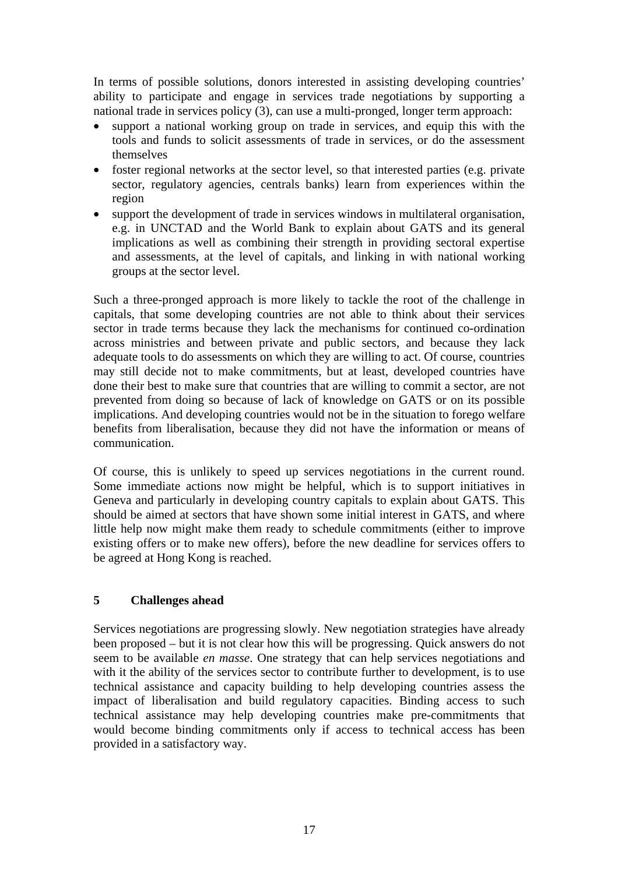In terms of possible solutions, donors interested in assisting developing countries' ability to participate and engage in services trade negotiations by supporting a national trade in services policy (3), can use a multi-pronged, longer term approach:

- support a national working group on trade in services, and equip this with the tools and funds to solicit assessments of trade in services, or do the assessment themselves
- foster regional networks at the sector level, so that interested parties (e.g. private sector, regulatory agencies, centrals banks) learn from experiences within the region
- support the development of trade in services windows in multilateral organisation, e.g. in UNCTAD and the World Bank to explain about GATS and its general implications as well as combining their strength in providing sectoral expertise and assessments, at the level of capitals, and linking in with national working groups at the sector level.

Such a three-pronged approach is more likely to tackle the root of the challenge in capitals, that some developing countries are not able to think about their services sector in trade terms because they lack the mechanisms for continued co-ordination across ministries and between private and public sectors, and because they lack adequate tools to do assessments on which they are willing to act. Of course, countries may still decide not to make commitments, but at least, developed countries have done their best to make sure that countries that are willing to commit a sector, are not prevented from doing so because of lack of knowledge on GATS or on its possible implications. And developing countries would not be in the situation to forego welfare benefits from liberalisation, because they did not have the information or means of communication.

Of course, this is unlikely to speed up services negotiations in the current round. Some immediate actions now might be helpful, which is to support initiatives in Geneva and particularly in developing country capitals to explain about GATS. This should be aimed at sectors that have shown some initial interest in GATS, and where little help now might make them ready to schedule commitments (either to improve existing offers or to make new offers), before the new deadline for services offers to be agreed at Hong Kong is reached.

# **5 Challenges ahead**

Services negotiations are progressing slowly. New negotiation strategies have already been proposed – but it is not clear how this will be progressing. Quick answers do not seem to be available *en masse*. One strategy that can help services negotiations and with it the ability of the services sector to contribute further to development, is to use technical assistance and capacity building to help developing countries assess the impact of liberalisation and build regulatory capacities. Binding access to such technical assistance may help developing countries make pre-commitments that would become binding commitments only if access to technical access has been provided in a satisfactory way.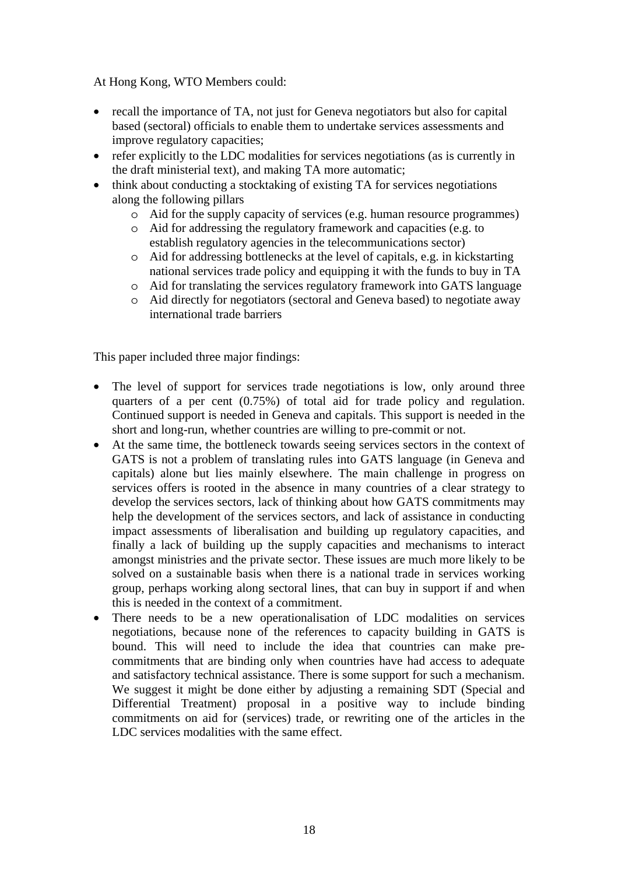At Hong Kong, WTO Members could:

- recall the importance of TA, not just for Geneva negotiators but also for capital based (sectoral) officials to enable them to undertake services assessments and improve regulatory capacities;
- refer explicitly to the LDC modalities for services negotiations (as is currently in the draft ministerial text), and making TA more automatic;
- think about conducting a stocktaking of existing TA for services negotiations along the following pillars
	- o Aid for the supply capacity of services (e.g. human resource programmes)
	- o Aid for addressing the regulatory framework and capacities (e.g. to establish regulatory agencies in the telecommunications sector)
	- o Aid for addressing bottlenecks at the level of capitals, e.g. in kickstarting national services trade policy and equipping it with the funds to buy in TA
	- o Aid for translating the services regulatory framework into GATS language
	- o Aid directly for negotiators (sectoral and Geneva based) to negotiate away international trade barriers

This paper included three major findings:

- The level of support for services trade negotiations is low, only around three quarters of a per cent (0.75%) of total aid for trade policy and regulation. Continued support is needed in Geneva and capitals. This support is needed in the short and long-run, whether countries are willing to pre-commit or not.
- At the same time, the bottleneck towards seeing services sectors in the context of GATS is not a problem of translating rules into GATS language (in Geneva and capitals) alone but lies mainly elsewhere. The main challenge in progress on services offers is rooted in the absence in many countries of a clear strategy to develop the services sectors, lack of thinking about how GATS commitments may help the development of the services sectors, and lack of assistance in conducting impact assessments of liberalisation and building up regulatory capacities, and finally a lack of building up the supply capacities and mechanisms to interact amongst ministries and the private sector. These issues are much more likely to be solved on a sustainable basis when there is a national trade in services working group, perhaps working along sectoral lines, that can buy in support if and when this is needed in the context of a commitment.
- There needs to be a new operationalisation of LDC modalities on services negotiations, because none of the references to capacity building in GATS is bound. This will need to include the idea that countries can make precommitments that are binding only when countries have had access to adequate and satisfactory technical assistance. There is some support for such a mechanism. We suggest it might be done either by adjusting a remaining SDT (Special and Differential Treatment) proposal in a positive way to include binding commitments on aid for (services) trade, or rewriting one of the articles in the LDC services modalities with the same effect.